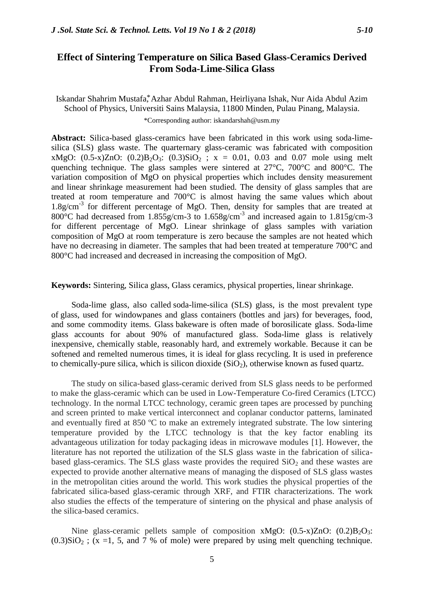## **Effect of Sintering Temperature on Silica Based Glass-Ceramics Derived From Soda-Lime-Silica Glass**

## Iskandar Shahrim Mustafa,\* Azhar Abdul Rahman, Heirliyana Ishak, Nur Aida Abdul Azim School of Physics, Universiti Sains Malaysia, 11800 Minden, Pulau Pinang, Malaysia. \*Corresponding author: iskandarshah@usm.my

**Abstract:** Silica-based glass-ceramics have been fabricated in this work using soda-limesilica (SLS) glass waste. The quarternary glass-ceramic was fabricated with composition xMgO:  $(0.5-x)ZnO$ :  $(0.2)B_2O_3$ :  $(0.3)SiO_2$ ;  $x = 0.01$ , 0.03 and 0.07 mole using melt quenching technique. The glass samples were sintered at 27°C, 700°C and 800°C. The variation composition of MgO on physical properties which includes density measurement and linear shrinkage measurement had been studied. The density of glass samples that are treated at room temperature and 700°C is almost having the same values which about 1.8g/cm<sup>-3</sup> for different percentage of MgO. Then, density for samples that are treated at 800°C had decreased from 1.855g/cm-3 to 1.658g/cm-3 and increased again to 1.815g/cm-3 for different percentage of MgO. Linear shrinkage of glass samples with variation composition of MgO at room temperature is zero because the samples are not heated which have no decreasing in diameter. The samples that had been treated at temperature 700 °C and 800 °C had increased and decreased in increasing the composition of MgO.

**Keywords:** Sintering, Silica glass, Glass ceramics, physical properties, linear shrinkage.

Soda-lime glass, also called soda-lime-silica (SLS) glass, is the most prevalent type of glass, used for windowpanes and glass containers (bottles and jars) for beverages, food, and some commodity items. Glass bakeware is often made of borosilicate glass. Soda-lime glass accounts for about 90% of manufactured glass. Soda-lime glass is relatively inexpensive, chemically stable, reasonably hard, and extremely workable. Because it can be softened and remelted numerous times, it is ideal for glass recycling. It is used in preference to chemically-pure silica, which is silicon dioxide  $(SiO<sub>2</sub>)$ , otherwise known as fused quartz.

The study on silica-based glass-ceramic derived from SLS glass needs to be performed to make the glass-ceramic which can be used in Low-Temperature Co-fired Ceramics (LTCC) technology. In the normal LTCC technology, ceramic green tapes are processed by punching and screen printed to make vertical interconnect and coplanar conductor patterns, laminated and eventually fired at 850 ºC to make an extremely integrated substrate. The low sintering temperature provided by the LTCC technology is that the key factor enabling its advantageous utilization for today packaging ideas in microwave modules [1]. However, the literature has not reported the utilization of the SLS glass waste in the fabrication of silicabased glass-ceramics. The SLS glass waste provides the required  $SiO<sub>2</sub>$  and these wastes are expected to provide another alternative means of managing the disposed of SLS glass wastes in the metropolitan cities around the world. This work studies the physical properties of the fabricated silica-based glass-ceramic through XRF, and FTIR characterizations. The work also studies the effects of the temperature of sintering on the physical and phase analysis of the silica-based ceramics.

Nine glass-ceramic pellets sample of composition xMgO:  $(0.5-x)ZnO$ :  $(0.2)B<sub>2</sub>O<sub>3</sub>$ :  $(0.3)SiO<sub>2</sub>$ ; (x =1, 5, and 7 % of mole) were prepared by using melt quenching technique.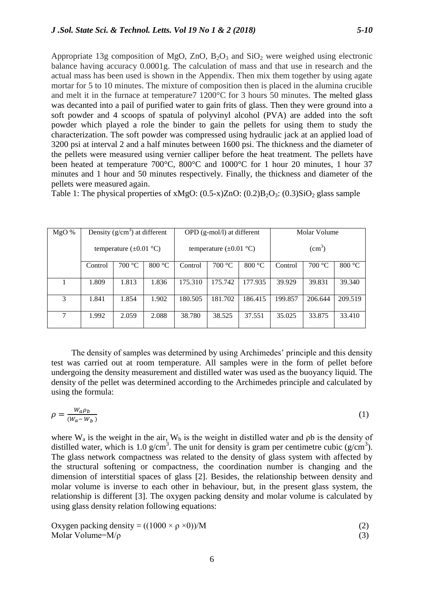Appropriate 13g composition of MgO,  $ZnO$ ,  $B_2O_3$  and  $SiO_2$  were weighed using electronic balance having accuracy 0.0001g. The calculation of mass and that use in research and the actual mass has been used is shown in the Appendix. Then mix them together by using agate mortar for 5 to 10 minutes. The mixture of composition then is placed in the alumina crucible and melt it in the furnace at temperature7 1200°C for 3 hours 50 minutes. The melted glass was decanted into a pail of purified water to gain frits of glass. Then they were ground into a soft powder and 4 scoops of spatula of polyvinyl alcohol (PVA) are added into the soft powder which played a role the binder to gain the pellets for using them to study the characterization. The soft powder was compressed using hydraulic jack at an applied load of 3200 psi at interval 2 and a half minutes between 1600 psi. The thickness and the diameter of the pellets were measured using vernier calliper before the heat treatment. The pellets have been heated at temperature 700°C, 800°C and 1000°C for 1 hour 20 minutes, 1 hour 37 minutes and 1 hour and 50 minutes respectively. Finally, the thickness and diameter of the pellets were measured again.

Table 1: The physical properties of xMgO:  $(0.5-x)ZnO$ :  $(0.2)B_2O_3$ :  $(0.3)SiO_2$  glass sample

| MgO% | Density $(g/cm3)$ at different     |        |        | $OPD$ (g-mol/l) at different       |         |         | Molar Volume       |         |         |
|------|------------------------------------|--------|--------|------------------------------------|---------|---------|--------------------|---------|---------|
|      | temperature $(\pm 0.01 \degree C)$ |        |        | temperature $(\pm 0.01 \degree C)$ |         |         | (cm <sup>3</sup> ) |         |         |
|      | Control                            | 700 °C | 800 °C | Control                            | 700 °C  | 800 °C  | Control            | 700 °C  | 800 °C  |
|      | 1.809                              | 1.813  | 1.836  | 175.310                            | 175.742 | 177.935 | 39.929             | 39.831  | 39.340  |
| 3    | 1.841                              | 1.854  | 1.902  | 180.505                            | 181.702 | 186.415 | 199.857            | 206.644 | 209.519 |
| 7    | 1.992                              | 2.059  | 2.088  | 38.780                             | 38.525  | 37.551  | 35.025             | 33.875  | 33.410  |

The density of samples was determined by using Archimedes' principle and this density test was carried out at room temperature. All samples were in the form of pellet before undergoing the density measurement and distilled water was used as the buoyancy liquid. The density of the pellet was determined according to the Archimedes principle and calculated by using the formula:

$$
\rho = \frac{W_a \rho_b}{(W_a - W_b)}\tag{1}
$$

where  $W_a$  is the weight in the air,  $W_b$  is the weight in distilled water and  $\rho b$  is the density of distilled water, which is 1.0 g/cm<sup>3</sup>. The unit for density is gram per centimetre cubic (g/cm<sup>3</sup>). The glass network compactness was related to the density of glass system with affected by the structural softening or compactness, the coordination number is changing and the dimension of interstitial spaces of glass [2]. Besides, the relationship between density and molar volume is inverse to each other in behaviour, but, in the present glass system, the relationship is different [3]. The oxygen packing density and molar volume is calculated by using glass density relation following equations:

Oxygen packing density = 
$$
((1000 \times \rho \times 0))/M
$$
 (2)  
Molar Volume=M/p (3)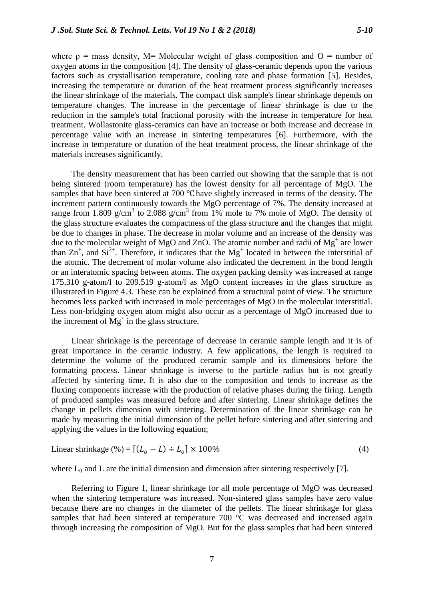materials increases significantly.

where  $\rho$  = mass density, M= Molecular weight of glass composition and O = number of oxygen atoms in the composition [4]. The density of glass-ceramic depends upon the various factors such as crystallisation temperature, cooling rate and phase formation [5]. Besides, increasing the temperature or duration of the heat treatment process significantly increases the linear shrinkage of the materials. The compact disk sample's linear shrinkage depends on temperature changes. The increase in the percentage of linear shrinkage is due to the reduction in the sample's total fractional porosity with the increase in temperature for heat treatment. Wollastonite glass-ceramics can have an increase or both increase and decrease in percentage value with an increase in sintering temperatures [6]. Furthermore, with the

increase in temperature or duration of the heat treatment process, the linear shrinkage of the

The density measurement that has been carried out showing that the sample that is not being sintered (room temperature) has the lowest density for all percentage of MgO. The samples that have been sintered at 700 °C have slightly increased in terms of the density. The increment pattern continuously towards the MgO percentage of 7%. The density increased at range from 1.809 g/cm<sup>3</sup> to 2.088 g/cm<sup>3</sup> from 1% mole to 7% mole of MgO. The density of the glass structure evaluates the compactness of the glass structure and the changes that might be due to changes in phase. The decrease in molar volume and an increase of the density was due to the molecular weight of MgO and ZnO. The atomic number and radii of  $Mg^+$  are lower than  $Zn^+$ , and  $Si^{2+}$ . Therefore, it indicates that the Mg<sup>+</sup> located in between the interstitial of the atomic. The decrement of molar volume also indicated the decrement in the bond length or an interatomic spacing between atoms. The oxygen packing density was increased at range 175.310 g-atom/l to 209.519 g-atom/l as MgO content increases in the glass structure as illustrated in Figure 4.3. These can be explained from a structural point of view. The structure becomes less packed with increased in mole percentages of MgO in the molecular interstitial. Less non-bridging oxygen atom might also occur as a percentage of MgO increased due to the increment of  $Mg^+$  in the glass structure.

Linear shrinkage is the percentage of decrease in ceramic sample length and it is of great importance in the ceramic industry. A few applications, the length is required to determine the volume of the produced ceramic sample and its dimensions before the formatting process. Linear shrinkage is inverse to the particle radius but is not greatly affected by sintering time. It is also due to the composition and tends to increase as the fluxing components increase with the production of relative phases during the firing. Length of produced samples was measured before and after sintering. Linear shrinkage defines the change in pellets dimension with sintering. Determination of the linear shrinkage can be made by measuring the initial dimension of the pellet before sintering and after sintering and applying the values in the following equation;

$$
Linear shrinkage (\%) = [(Lo - L) \div Lo] \times 100\% \tag{4}
$$

where  $L_0$  and L are the initial dimension and dimension after sintering respectively [7].

Referring to Figure 1, linear shrinkage for all mole percentage of MgO was decreased when the sintering temperature was increased. Non-sintered glass samples have zero value because there are no changes in the diameter of the pellets. The linear shrinkage for glass samples that had been sintered at temperature 700 °C was decreased and increased again through increasing the composition of MgO. But for the glass samples that had been sintered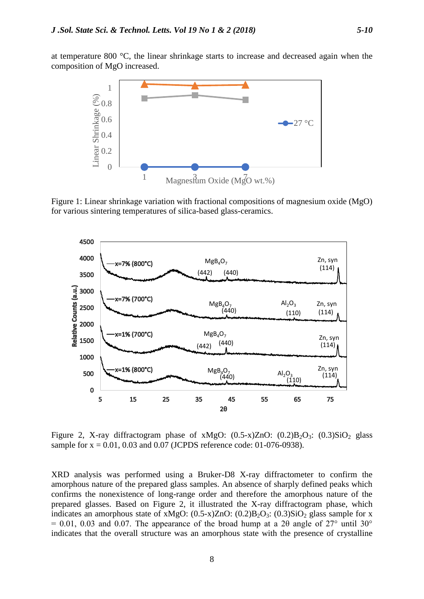at temperature 800 °C, the linear shrinkage starts to increase and decreased again when the composition of MgO increased.



Figure 1: Linear shrinkage variation with fractional compositions of magnesium oxide (MgO) for various sintering temperatures of silica-based glass-ceramics.



Figure 2, X-ray diffractogram phase of xMgO:  $(0.5-x)ZnO$ :  $(0.2)B<sub>2</sub>O<sub>3</sub>$ :  $(0.3)SiO<sub>2</sub>$  glass sample for  $x = 0.01, 0.03$  and 0.07 (JCPDS reference code: 01-076-0938).

XRD analysis was performed using a Bruker-D8 X-ray diffractometer to confirm the amorphous nature of the prepared glass samples. An absence of sharply defined peaks which confirms the nonexistence of long-range order and therefore the amorphous nature of the prepared glasses. Based on Figure 2, it illustrated the X-ray diffractogram phase, which indicates an amorphous state of xMgO:  $(0.5-x)ZnO$ :  $(0.2)B_2O_3$ :  $(0.3)SiO_2$  glass sample for x  $= 0.01, 0.03$  and 0.07. The appearance of the broad hump at a 2 $\theta$  angle of 27° until 30° indicates that the overall structure was an amorphous state with the presence of crystalline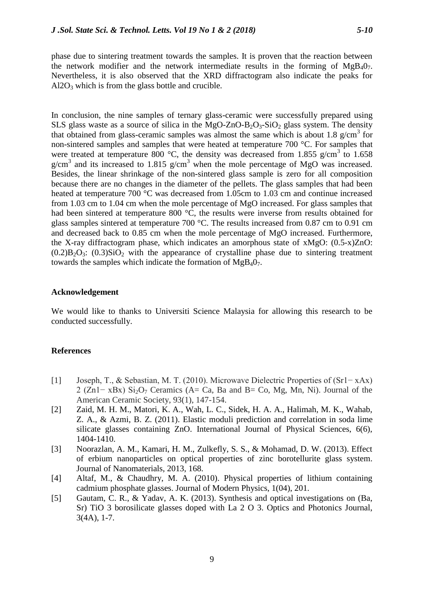phase due to sintering treatment towards the samples. It is proven that the reaction between the network modifier and the network intermediate results in the forming of  $MgB_40_7$ . Nevertheless, it is also observed that the XRD diffractogram also indicate the peaks for  $Al2O<sub>3</sub>$  which is from the glass bottle and crucible.

In conclusion, the nine samples of ternary glass-ceramic were successfully prepared using SLS glass waste as a source of silica in the MgO-ZnO-B<sub>2</sub>O<sub>3</sub>-SiO<sub>2</sub> glass system. The density that obtained from glass-ceramic samples was almost the same which is about 1.8  $g/cm<sup>3</sup>$  for non-sintered samples and samples that were heated at temperature 700 °C. For samples that were treated at temperature 800 °C, the density was decreased from 1.855 g/cm<sup>3</sup> to 1.658  $g/cm<sup>3</sup>$  and its increased to 1.815 g/cm<sup>3</sup> when the mole percentage of MgO was increased. Besides, the linear shrinkage of the non-sintered glass sample is zero for all composition because there are no changes in the diameter of the pellets. The glass samples that had been heated at temperature 700 °C was decreased from 1.05cm to 1.03 cm and continue increased from 1.03 cm to 1.04 cm when the mole percentage of MgO increased. For glass samples that had been sintered at temperature 800 °C, the results were inverse from results obtained for glass samples sintered at temperature 700 °C. The results increased from 0.87 cm to 0.91 cm and decreased back to 0.85 cm when the mole percentage of MgO increased. Furthermore, the X-ray diffractogram phase, which indicates an amorphous state of xMgO: (0.5-x)ZnO:  $(0.2)B<sub>2</sub>O<sub>3</sub>$ :  $(0.3)SiO<sub>2</sub>$  with the appearance of crystalline phase due to sintering treatment towards the samples which indicate the formation of  $MgB_40_7$ .

## **Acknowledgement**

We would like to thanks to Universiti Science Malaysia for allowing this research to be conducted successfully.

## **References**

- [1] Joseph, T., & Sebastian, M. T. (2010). Microwave Dielectric Properties of (Sr1− xAx) 2 (Zn1− xBx) Si<sub>2</sub>O<sub>7</sub> Ceramics (A= Ca, Ba and B= Co, Mg, Mn, Ni). Journal of the American Ceramic Society, 93(1), 147-154.
- [2] Zaid, M. H. M., Matori, K. A., Wah, L. C., Sidek, H. A. A., Halimah, M. K., Wahab, Z. A., & Azmi, B. Z. (2011). Elastic moduli prediction and correlation in soda lime silicate glasses containing ZnO. International Journal of Physical Sciences, 6(6), 1404-1410.
- [3] Noorazlan, A. M., Kamari, H. M., Zulkefly, S. S., & Mohamad, D. W. (2013). Effect of erbium nanoparticles on optical properties of zinc borotellurite glass system. Journal of Nanomaterials, 2013, 168.
- [4] Altaf, M., & Chaudhry, M. A. (2010). Physical properties of lithium containing cadmium phosphate glasses. Journal of Modern Physics, 1(04), 201.
- [5] Gautam, C. R., & Yadav, A. K. (2013). Synthesis and optical investigations on (Ba, Sr) TiO 3 borosilicate glasses doped with La 2 O 3. Optics and Photonics Journal, 3(4A), 1-7.